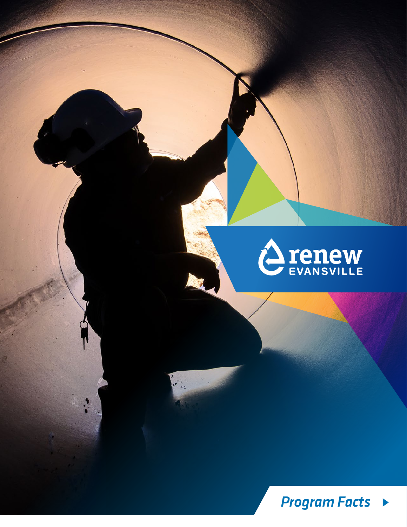

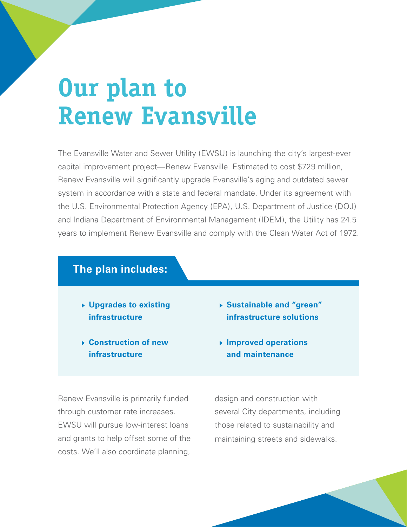# **Our plan to Renew Evansville**

The Evansville Water and Sewer Utility (EWSU) is launching the city's largest-ever capital improvement project—Renew Evansville. Estimated to cost \$729 million, Renew Evansville will significantly upgrade Evansville's aging and outdated sewer system in accordance with a state and federal mandate. Under its agreement with the U.S. Environmental Protection Agency (EPA), U.S. Department of Justice (DOJ) and Indiana Department of Environmental Management (IDEM), the Utility has 24.5 years to implement Renew Evansville and comply with the Clean Water Act of 1972.

### **The plan includes:**

- **Upgrades to existing infrastructure**
- **Construction of new infrastructure**
- **Sustainable and "green" infrastructure solutions**
- **Improved operations and maintenance**

Renew Evansville is primarily funded through customer rate increases. EWSU will pursue low-interest loans and grants to help offset some of the costs. We'll also coordinate planning, design and construction with several City departments, including those related to sustainability and maintaining streets and sidewalks.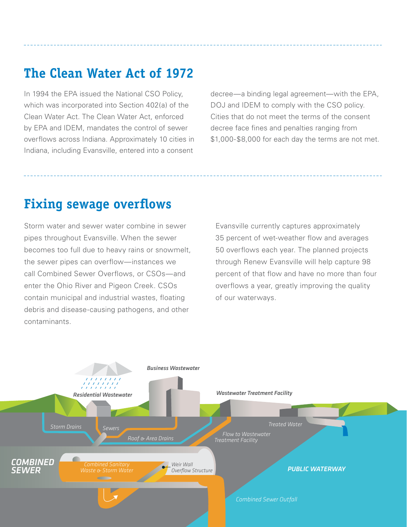## **The Clean Water Act of 1972**

In 1994 the EPA issued the National CSO Policy, which was incorporated into Section 402(a) of the Clean Water Act. The Clean Water Act, enforced by EPA and IDEM, mandates the control of sewer overflows across Indiana. Approximately 10 cities in Indiana, including Evansville, entered into a consent

decree—a binding legal agreement—with the EPA, DOJ and IDEM to comply with the CSO policy. Cities that do not meet the terms of the consent decree face fines and penalties ranging from \$1,000-\$8,000 for each day the terms are not met.

### **Fixing sewage overflows**

Storm water and sewer water combine in sewer pipes throughout Evansville. When the sewer becomes too full due to heavy rains or snowmelt, the sewer pipes can overflow—instances we call Combined Sewer Overflows, or CSOs—and enter the Ohio River and Pigeon Creek. CSOs contain municipal and industrial wastes, floating debris and disease-causing pathogens, and other contaminants.

Evansville currently captures approximately 35 percent of wet-weather flow and averages 50 overflows each year. The planned projects through Renew Evansville will help capture 98 percent of that flow and have no more than four overflows a year, greatly improving the quality of our waterways.

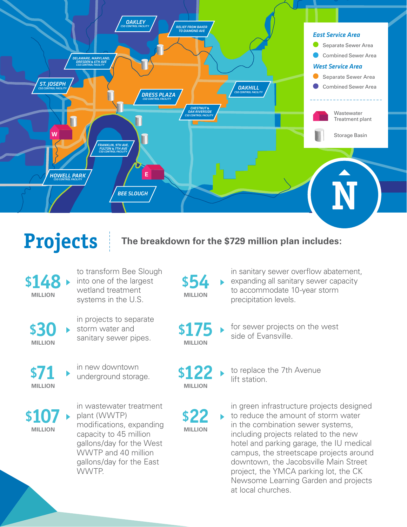

**Projects**

**The breakdown for the \$729 million plan includes:**

**\$148**

to transform Bee Slough into one of the largest wetland treatment systems in the U.S. **MILLION**

**\$30**

in projects to separate<br>storm water and **\$175** storm water and sanitary sewer pipes.

**MILLION \$71**

in new downtown underground storage.

**MILLION \$107**

in wastewater treatment plant (WWTP) modifications, expanding capacity to 45 million gallons/day for the West WWTP and 40 million gallons/day for the East WWTP.

precipitation levels. **MILLION \$54**

**MILLION \$122**

**MILLION**

in sanitary sewer overflow abatement, expanding all sanitary sewer capacity to accommodate 10-year storm

for sewer projects on the west side of Evansville. **MILLION**

> to replace the 7th Avenue lift station.

**\$22** in green infrastructure projects designed to reduce the amount of storm water in the combination sewer systems, including projects related to the new hotel and parking garage, the IU medical campus, the streetscape projects around downtown, the Jacobsville Main Street project, the YMCA parking lot, the CK Newsome Learning Garden and projects at local churches.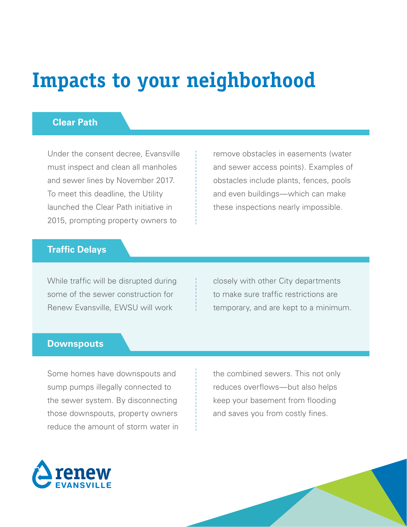## **Impacts to your neighborhood**

### **Clear Path**

Under the consent decree, Evansville must inspect and clean all manholes and sewer lines by November 2017. To meet this deadline, the Utility launched the Clear Path initiative in 2015, prompting property owners to

remove obstacles in easements (water and sewer access points). Examples of obstacles include plants, fences, pools and even buildings—which can make these inspections nearly impossible.

### **Traffic Delays**

While traffic will be disrupted during some of the sewer construction for Renew Evansville, EWSU will work

closely with other City departments to make sure traffic restrictions are temporary, and are kept to a minimum.

#### **Downspouts**

Some homes have downspouts and sump pumps illegally connected to the sewer system. By disconnecting those downspouts, property owners reduce the amount of storm water in the combined sewers. This not only reduces overflows—but also helps keep your basement from flooding and saves you from costly fines.